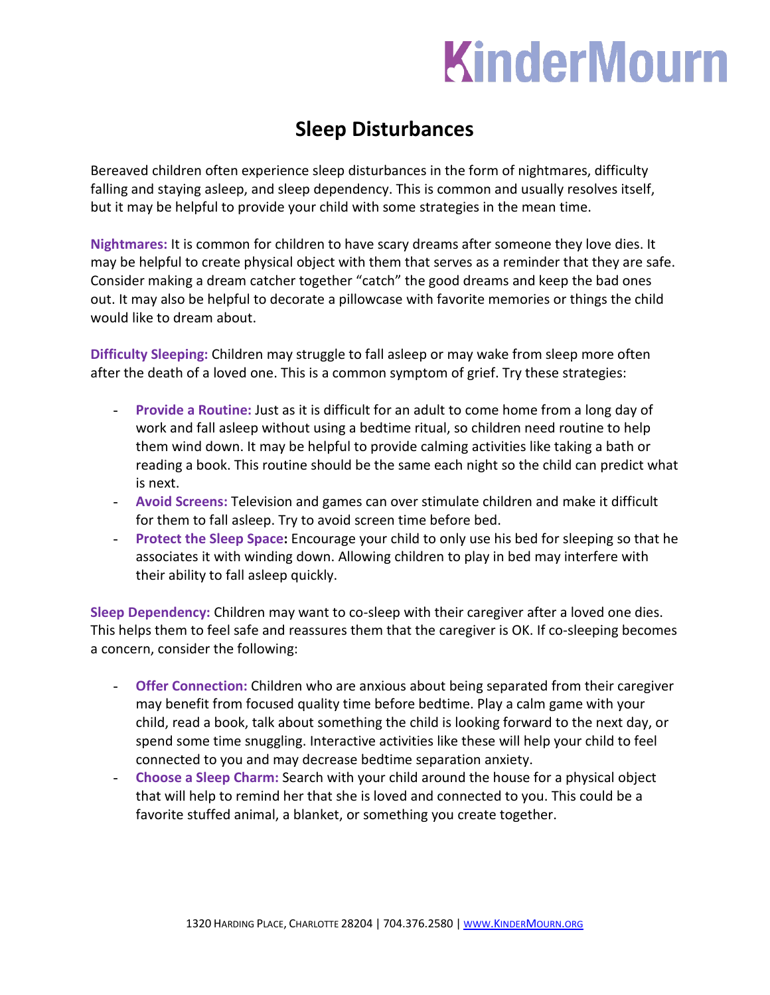## **KinderMourn**

## **Sleep Disturbances**

Bereaved children often experience sleep disturbances in the form of nightmares, difficulty falling and staying asleep, and sleep dependency. This is common and usually resolves itself, but it may be helpful to provide your child with some strategies in the mean time.

**Nightmares:** It is common for children to have scary dreams after someone they love dies. It may be helpful to create physical object with them that serves as a reminder that they are safe. Consider making a dream catcher together "catch" the good dreams and keep the bad ones out. It may also be helpful to decorate a pillowcase with favorite memories or things the child would like to dream about.

**Difficulty Sleeping:** Children may struggle to fall asleep or may wake from sleep more often after the death of a loved one. This is a common symptom of grief. Try these strategies:

- Provide a Routine: Just as it is difficult for an adult to come home from a long day of work and fall asleep without using a bedtime ritual, so children need routine to help them wind down. It may be helpful to provide calming activities like taking a bath or reading a book. This routine should be the same each night so the child can predict what is next.
- **Avoid Screens:** Television and games can over stimulate children and make it difficult for them to fall asleep. Try to avoid screen time before bed.
- **Protect the Sleep Space:** Encourage your child to only use his bed for sleeping so that he associates it with winding down. Allowing children to play in bed may interfere with their ability to fall asleep quickly.

**Sleep Dependency:** Children may want to co-sleep with their caregiver after a loved one dies. This helps them to feel safe and reassures them that the caregiver is OK. If co-sleeping becomes a concern, consider the following:

- **Offer Connection:** Children who are anxious about being separated from their caregiver may benefit from focused quality time before bedtime. Play a calm game with your child, read a book, talk about something the child is looking forward to the next day, or spend some time snuggling. Interactive activities like these will help your child to feel connected to you and may decrease bedtime separation anxiety.
- **Choose a Sleep Charm:** Search with your child around the house for a physical object that will help to remind her that she is loved and connected to you. This could be a favorite stuffed animal, a blanket, or something you create together.